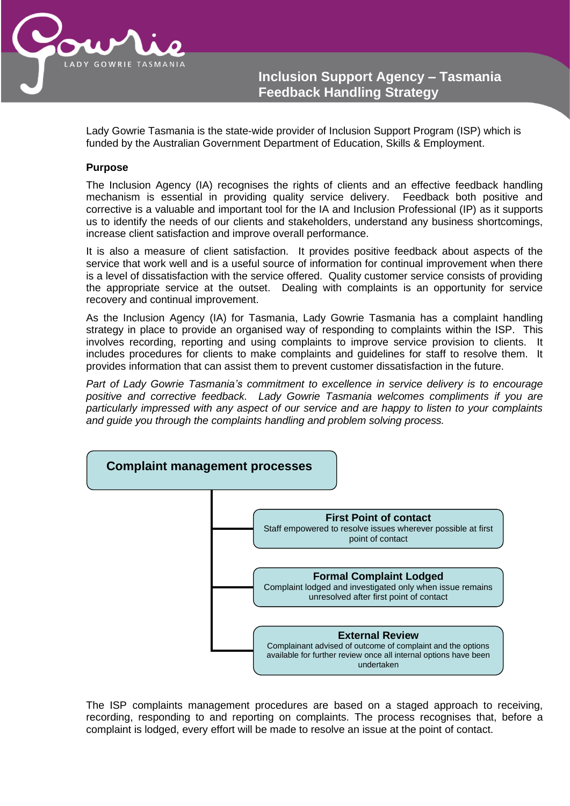

Lady Gowrie Tasmania is the state-wide provider of Inclusion Support Program (ISP) which is funded by the Australian Government Department of Education, Skills & Employment.

#### **Purpose**

The Inclusion Agency (IA) recognises the rights of clients and an effective feedback handling mechanism is essential in providing quality service delivery. Feedback both positive and corrective is a valuable and important tool for the IA and Inclusion Professional (IP) as it supports us to identify the needs of our clients and stakeholders, understand any business shortcomings, increase client satisfaction and improve overall performance.

It is also a measure of client satisfaction. It provides positive feedback about aspects of the service that work well and is a useful source of information for continual improvement when there is a level of dissatisfaction with the service offered. Quality customer service consists of providing the appropriate service at the outset. Dealing with complaints is an opportunity for service recovery and continual improvement.

As the Inclusion Agency (IA) for Tasmania, Lady Gowrie Tasmania has a complaint handling strategy in place to provide an organised way of responding to complaints within the ISP. This involves recording, reporting and using complaints to improve service provision to clients. It includes procedures for clients to make complaints and guidelines for staff to resolve them. It provides information that can assist them to prevent customer dissatisfaction in the future.

*Part of Lady Gowrie Tasmania's commitment to excellence in service delivery is to encourage positive and corrective feedback. Lady Gowrie Tasmania welcomes compliments if you are particularly impressed with any aspect of our service and are happy to listen to your complaints and guide you through the complaints handling and problem solving process.*



The ISP complaints management procedures are based on a staged approach to receiving, recording, responding to and reporting on complaints. The process recognises that, before a complaint is lodged, every effort will be made to resolve an issue at the point of contact.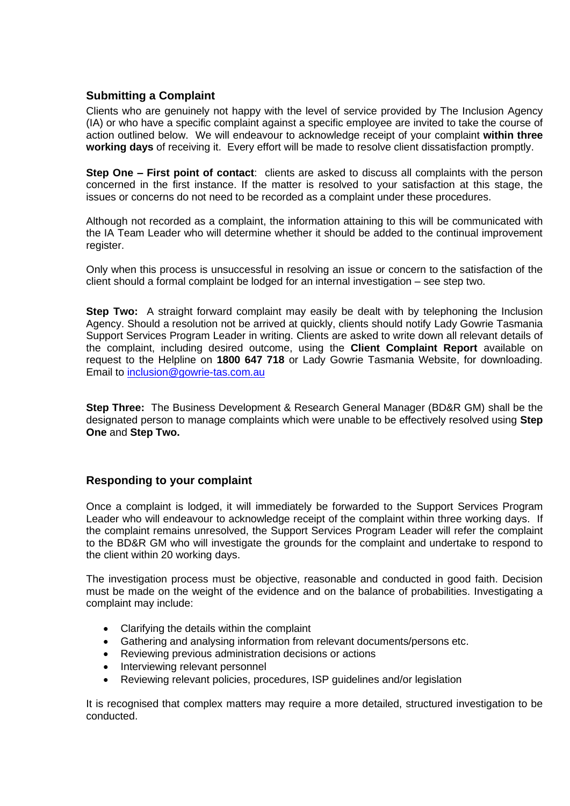#### **Submitting a Complaint**

Clients who are genuinely not happy with the level of service provided by The Inclusion Agency (IA) or who have a specific complaint against a specific employee are invited to take the course of action outlined below. We will endeavour to acknowledge receipt of your complaint **within three working days** of receiving it. Every effort will be made to resolve client dissatisfaction promptly.

**Step One – First point of contact**: clients are asked to discuss all complaints with the person concerned in the first instance. If the matter is resolved to your satisfaction at this stage, the issues or concerns do not need to be recorded as a complaint under these procedures.

Although not recorded as a complaint, the information attaining to this will be communicated with the IA Team Leader who will determine whether it should be added to the continual improvement register.

Only when this process is unsuccessful in resolving an issue or concern to the satisfaction of the client should a formal complaint be lodged for an internal investigation – see step two.

**Step Two:** A straight forward complaint may easily be dealt with by telephoning the Inclusion Agency. Should a resolution not be arrived at quickly, clients should notify Lady Gowrie Tasmania Support Services Program Leader in writing. Clients are asked to write down all relevant details of the complaint, including desired outcome, using the **Client Complaint Report** available on request to the Helpline on **1800 647 718** or Lady Gowrie Tasmania Website, for downloading. Email to [inclusion@gowrie-tas.com.au](mailto:inclusion@gowrie-tas.com.au)

**Step Three:** The Business Development & Research General Manager (BD&R GM) shall be the designated person to manage complaints which were unable to be effectively resolved using **Step One** and **Step Two.**

#### **Responding to your complaint**

Once a complaint is lodged, it will immediately be forwarded to the Support Services Program Leader who will endeavour to acknowledge receipt of the complaint within three working days. If the complaint remains unresolved, the Support Services Program Leader will refer the complaint to the BD&R GM who will investigate the grounds for the complaint and undertake to respond to the client within 20 working days.

The investigation process must be objective, reasonable and conducted in good faith. Decision must be made on the weight of the evidence and on the balance of probabilities. Investigating a complaint may include:

- Clarifying the details within the complaint
- Gathering and analysing information from relevant documents/persons etc.
- Reviewing previous administration decisions or actions
- Interviewing relevant personnel
- Reviewing relevant policies, procedures, ISP guidelines and/or legislation

It is recognised that complex matters may require a more detailed, structured investigation to be conducted.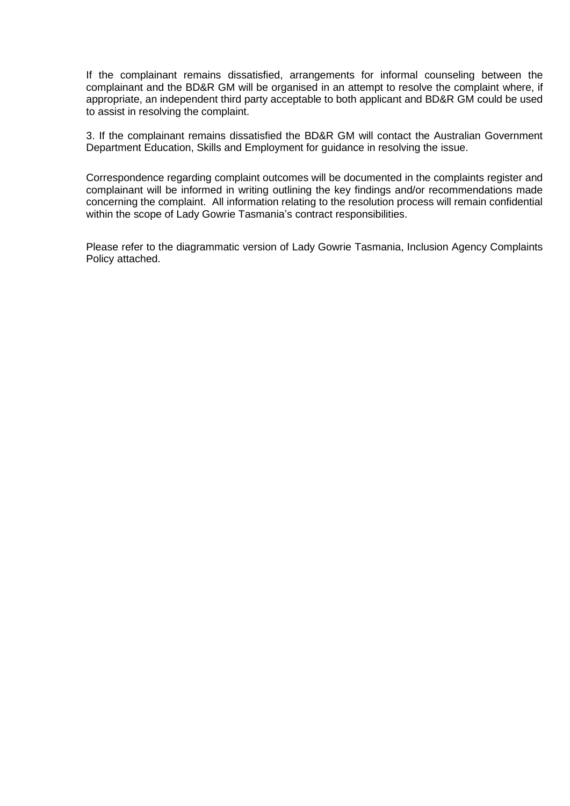If the complainant remains dissatisfied, arrangements for informal counseling between the complainant and the BD&R GM will be organised in an attempt to resolve the complaint where, if appropriate, an independent third party acceptable to both applicant and BD&R GM could be used to assist in resolving the complaint.

3. If the complainant remains dissatisfied the BD&R GM will contact the Australian Government Department Education, Skills and Employment for guidance in resolving the issue.

Correspondence regarding complaint outcomes will be documented in the complaints register and complainant will be informed in writing outlining the key findings and/or recommendations made concerning the complaint. All information relating to the resolution process will remain confidential within the scope of Lady Gowrie Tasmania's contract responsibilities.

Please refer to the diagrammatic version of Lady Gowrie Tasmania, Inclusion Agency Complaints Policy attached.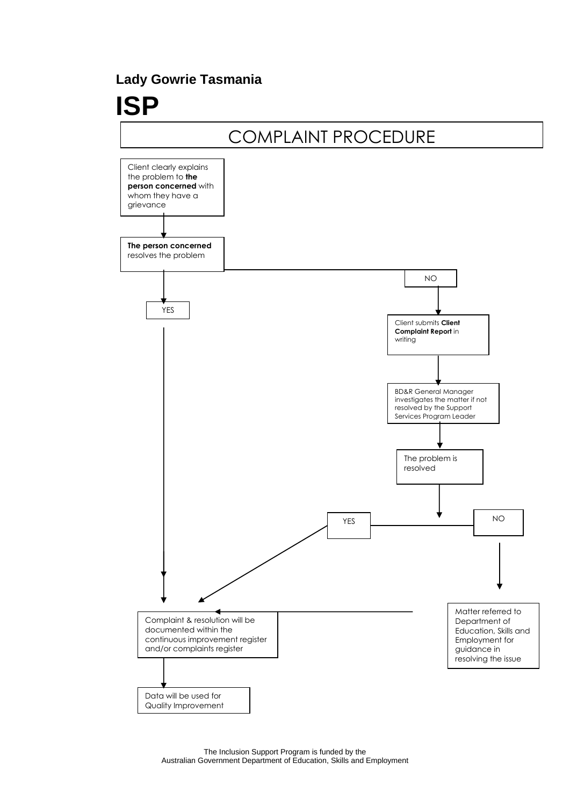# **Lady Gowrie Tasmania**

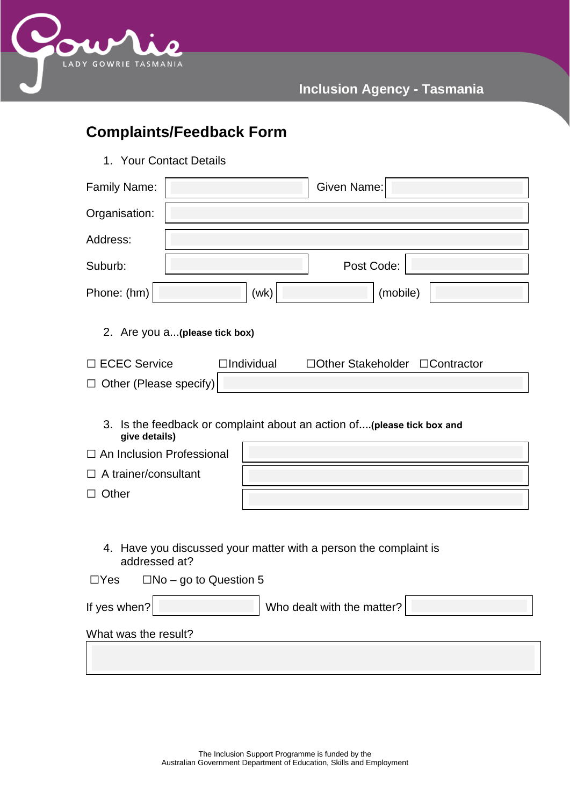

# **Inclusion Agency - Tasmania**

# **Complaints/Feedback Form**

1. Your Contact Details

| Family Name:                                                                                                                                                               | Given Name:                |  |  |  |
|----------------------------------------------------------------------------------------------------------------------------------------------------------------------------|----------------------------|--|--|--|
| Organisation:                                                                                                                                                              |                            |  |  |  |
| Address:                                                                                                                                                                   |                            |  |  |  |
| Suburb:                                                                                                                                                                    | Post Code:                 |  |  |  |
| Phone: (hm)                                                                                                                                                                | (mobile)<br>(wk)           |  |  |  |
| 2. Are you a (please tick box)                                                                                                                                             |                            |  |  |  |
| □ ECEC Service<br>$\Box$ Individual<br>□Other Stakeholder □Contractor                                                                                                      |                            |  |  |  |
| $\Box$ Other (Please specify)                                                                                                                                              |                            |  |  |  |
| 3. Is the feedback or complaint about an action of(please tick box and<br>give details)<br>$\Box$ An Inclusion Professional<br>$\Box$ A trainer/consultant<br>$\Box$ Other |                            |  |  |  |
| 4. Have you discussed your matter with a person the complaint is<br>addressed at?<br>$\Box$ Yes<br>$\Box$ No – go to Question 5                                            |                            |  |  |  |
| If yes when?                                                                                                                                                               | Who dealt with the matter? |  |  |  |
| What was the result?                                                                                                                                                       |                            |  |  |  |
|                                                                                                                                                                            |                            |  |  |  |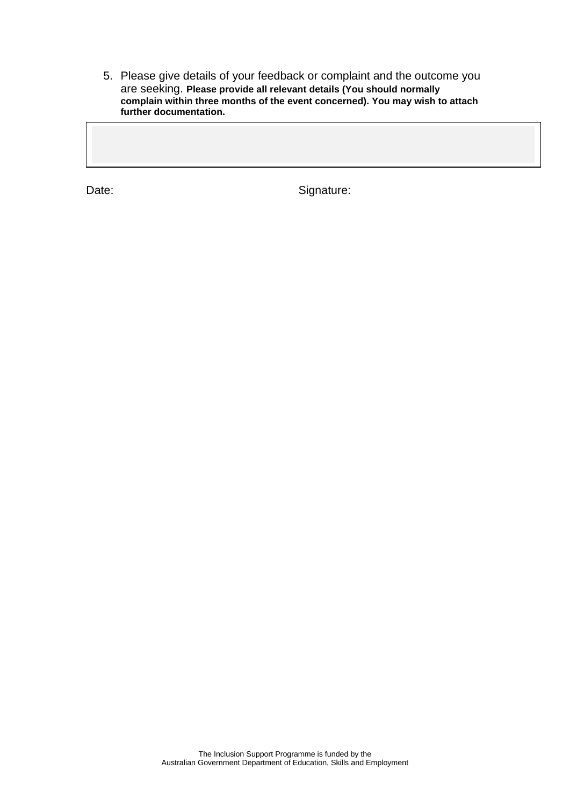5. Please give details of your feedback or complaint and the outcome you are seeking. **Please provide all relevant details (You should normally complain within three months of the event concerned). You may wish to attach further documentation.** 

Date: Signature: